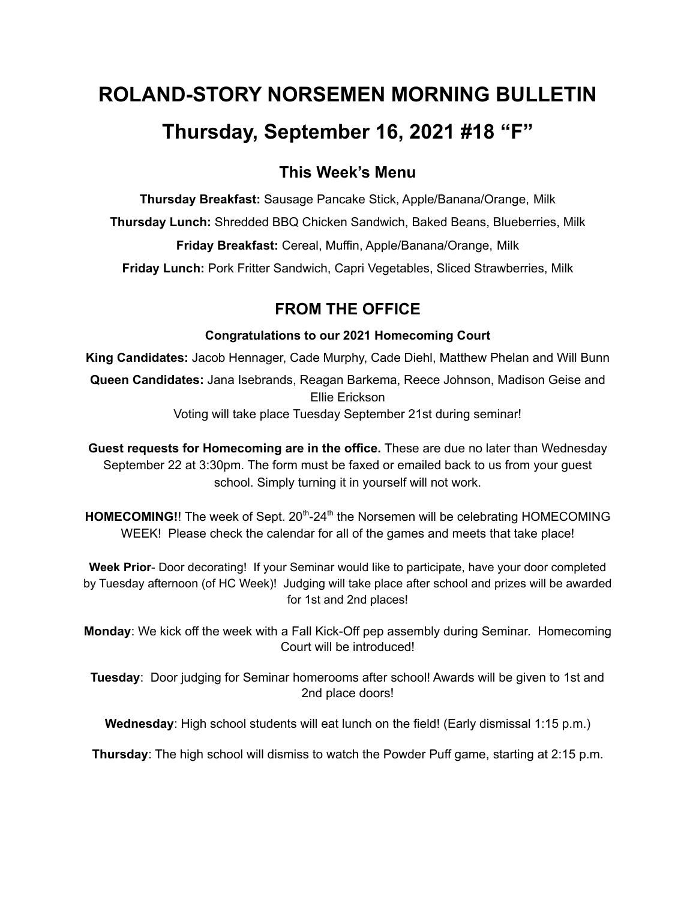# **ROLAND-STORY NORSEMEN MORNING BULLETIN Thursday, September 16, 2021 #18 "F"**

# **This Week's Menu**

**Thursday Breakfast:** Sausage Pancake Stick, Apple/Banana/Orange, Milk **Thursday Lunch:** Shredded BBQ Chicken Sandwich, Baked Beans, Blueberries, Milk **Friday Breakfast:** Cereal, Muffin, Apple/Banana/Orange, Milk **Friday Lunch:** Pork Fritter Sandwich, Capri Vegetables, Sliced Strawberries, Milk

# **FROM THE OFFICE**

## **Congratulations to our 2021 Homecoming Court**

**King Candidates:** Jacob Hennager, Cade Murphy, Cade Diehl, Matthew Phelan and Will Bunn **Queen Candidates:** Jana Isebrands, Reagan Barkema, Reece Johnson, Madison Geise and Ellie Erickson Voting will take place Tuesday September 21st during seminar!

**Guest requests for Homecoming are in the office.** These are due no later than Wednesday September 22 at 3:30pm. The form must be faxed or emailed back to us from your guest school. Simply turning it in yourself will not work.

HOMECOMING!! The week of Sept. 20<sup>th</sup>-24<sup>th</sup> the Norsemen will be celebrating HOMECOMING WEEK! Please check the calendar for all of the games and meets that take place!

**Week Prior**- Door decorating! If your Seminar would like to participate, have your door completed by Tuesday afternoon (of HC Week)! Judging will take place after school and prizes will be awarded for 1st and 2nd places!

**Monday**: We kick off the week with a Fall Kick-Off pep assembly during Seminar. Homecoming Court will be introduced!

**Tuesday**: Door judging for Seminar homerooms after school! Awards will be given to 1st and 2nd place doors!

**Wednesday**: High school students will eat lunch on the field! (Early dismissal 1:15 p.m.)

**Thursday**: The high school will dismiss to watch the Powder Puff game, starting at 2:15 p.m.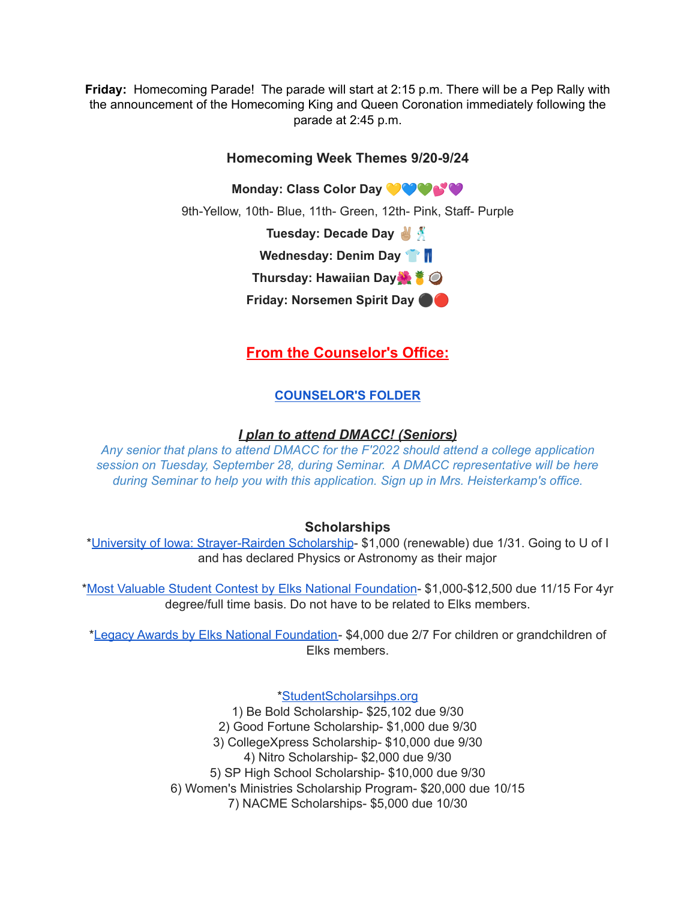**Friday:** Homecoming Parade! The parade will start at 2:15 p.m. There will be a Pep Rally with the announcement of the Homecoming King and Queen Coronation immediately following the parade at 2:45 p.m.

## **Homecoming Week Themes 9/20-9/24**

**Monday: Class Color Day**

9th-Yellow, 10th- Blue, 11th- Green, 12th- Pink, Staff- Purple

**Tuesday: Decade Day**

**Wednesday: Denim Day**

**Thursday: Hawaiian Day**

**Friday: Norsemen Spirit Day** ⚫️

**From the Counselor's Office:**

# **[COUNSELOR'S](https://docs.google.com/document/d/1vmwczNPbDzXe9vFaG5LJMQ7NYDv-i4oQJHybqA65TUc/edit?usp=sharing) FOLDER**

## *I plan to attend DMACC! (Seniors)*

*Any senior that plans to attend DMACC for the F'2022 should attend a college application session on Tuesday, September 28, during Seminar. A DMACC representative will be here during Seminar to help you with this application. Sign up in Mrs. Heisterkamp's office.*

#### **Scholarships**

\*University of Iowa: [Strayer-Rairden](https://drive.google.com/file/d/19dd2KrYVSWYKX2eleClYPvARc5_M10rR/view?usp=sharing) Scholarship- \$1,000 (renewable) due 1/31. Going to U of I and has declared Physics or Astronomy as their major

\*Most Valuable Student Contest by Elks National [Foundation](https://www.elks.org/scholars/scholarships/mvs.cfm)- \$1,000-\$12,500 due 11/15 For 4yr degree/full time basis. Do not have to be related to Elks members.

\*Legacy Awards by Elks National [Foundation-](https://www.elks.org/scholars/scholarships/Legacy.cfm) \$4,000 due 2/7 For children or grandchildren of Elks members.

[\\*StudentScholarsihps.org](https://drive.google.com/file/d/15_QGMs4o4nf-uHxHY58Ue31_w-7Qw42k/view?usp=sharing)

1) Be Bold Scholarship- \$25,102 due 9/30 2) Good Fortune Scholarship- \$1,000 due 9/30 3) CollegeXpress Scholarship- \$10,000 due 9/30 4) Nitro Scholarship- \$2,000 due 9/30 5) SP High School Scholarship- \$10,000 due 9/30 6) Women's Ministries Scholarship Program- \$20,000 due 10/15 7) NACME Scholarships- \$5,000 due 10/30